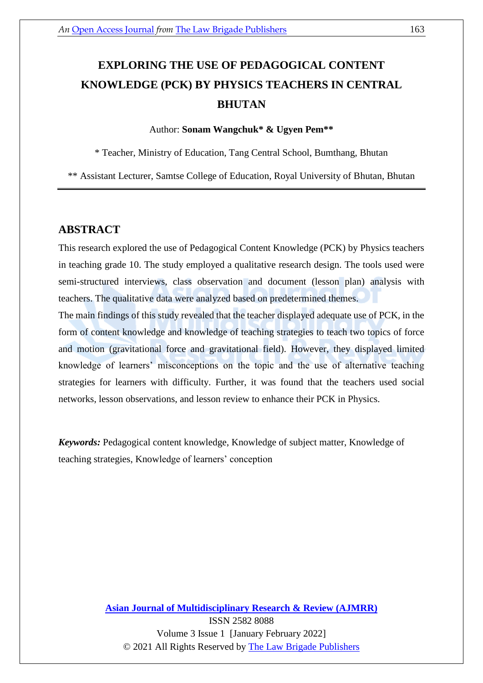# **EXPLORING THE USE OF PEDAGOGICAL CONTENT KNOWLEDGE (PCK) BY PHYSICS TEACHERS IN CENTRAL BHUTAN**

#### Author: **Sonam Wangchuk\* & Ugyen Pem\*\***

\* Teacher, Ministry of Education, Tang Central School, Bumthang, Bhutan

\*\* Assistant Lecturer, Samtse College of Education, Royal University of Bhutan, Bhutan

## **ABSTRACT**

This research explored the use of Pedagogical Content Knowledge (PCK) by Physics teachers in teaching grade 10. The study employed a qualitative research design. The tools used were semi-structured interviews, class observation and document (lesson plan) analysis with teachers. The qualitative data were analyzed based on predetermined themes.

The main findings of this study revealed that the teacher displayed adequate use of PCK, in the form of content knowledge and knowledge of teaching strategies to teach two topics of force and motion (gravitational force and gravitational field). However, they displayed limited knowledge of learners' misconceptions on the topic and the use of alternative teaching strategies for learners with difficulty. Further, it was found that the teachers used social networks, lesson observations, and lesson review to enhance their PCK in Physics.

*Keywords:* Pedagogical content knowledge, Knowledge of subject matter, Knowledge of teaching strategies, Knowledge of learners' conception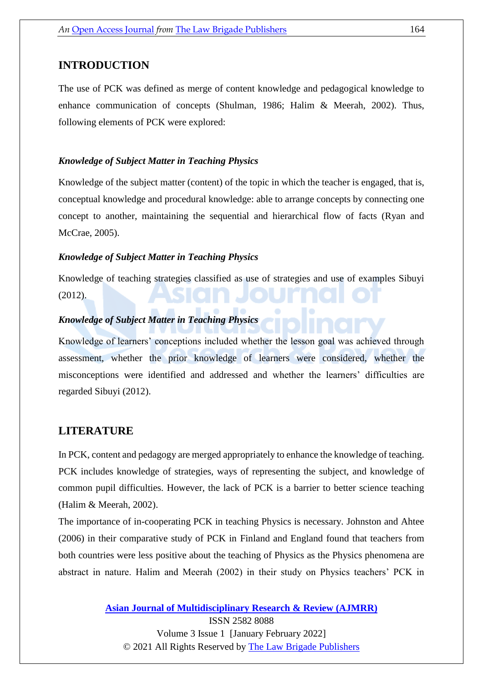## **INTRODUCTION**

The use of PCK was defined as merge of content knowledge and pedagogical knowledge to enhance communication of concepts (Shulman, 1986; Halim & Meerah, 2002). Thus, following elements of PCK were explored:

#### *Knowledge of Subject Matter in Teaching Physics*

Knowledge of the subject matter (content) of the topic in which the teacher is engaged, that is, conceptual knowledge and procedural knowledge: able to arrange concepts by connecting one concept to another, maintaining the sequential and hierarchical flow of facts (Ryan and McCrae, 2005).

#### *Knowledge of Subject Matter in Teaching Physics*

Knowledge of teaching strategies classified as use of strategies and use of examples Sibuyi (2012).

## *Knowledge of Subject Matter in Teaching Physics*

Knowledge of learners' conceptions included whether the lesson goal was achieved through assessment, whether the prior knowledge of learners were considered, whether the misconceptions were identified and addressed and whether the learners' difficulties are regarded Sibuyi (2012).

## **LITERATURE**

In PCK, content and pedagogy are merged appropriately to enhance the knowledge of teaching. PCK includes knowledge of strategies, ways of representing the subject, and knowledge of common pupil difficulties. However, the lack of PCK is a barrier to better science teaching (Halim & Meerah, 2002).

The importance of in-cooperating PCK in teaching Physics is necessary. Johnston and Ahtee (2006) in their comparative study of PCK in Finland and England found that teachers from both countries were less positive about the teaching of Physics as the Physics phenomena are abstract in nature. Halim and Meerah (2002) in their study on Physics teachers' PCK in

> **[Asian Journal of Multidisciplinary](https://thelawbrigade.com/ajmrr/) Research & Review (AJMRR)** ISSN 2582 8088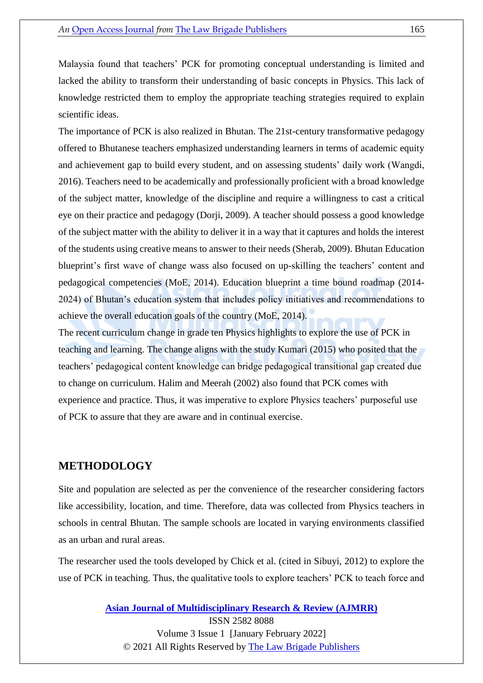Malaysia found that teachers' PCK for promoting conceptual understanding is limited and lacked the ability to transform their understanding of basic concepts in Physics. This lack of knowledge restricted them to employ the appropriate teaching strategies required to explain scientific ideas.

The importance of PCK is also realized in Bhutan. The 21st-century transformative pedagogy offered to Bhutanese teachers emphasized understanding learners in terms of academic equity and achievement gap to build every student, and on assessing students' daily work (Wangdi, 2016). Teachers need to be academically and professionally proficient with a broad knowledge of the subject matter, knowledge of the discipline and require a willingness to cast a critical eye on their practice and pedagogy (Dorji, 2009). A teacher should possess a good knowledge of the subject matter with the ability to deliver it in a way that it captures and holds the interest of the students using creative means to answer to their needs (Sherab, 2009). Bhutan Education blueprint's first wave of change wass also focused on up-skilling the teachers' content and pedagogical competencies (MoE, 2014). Education blueprint a time bound roadmap (2014- 2024) of Bhutan's education system that includes policy initiatives and recommendations to achieve the overall education goals of the country (MoE, 2014).

The recent curriculum change in grade ten Physics highlights to explore the use of PCK in teaching and learning. The change aligns with the study Kumari (2015) who posited that the teachers' pedagogical content knowledge can bridge pedagogical transitional gap created due to change on curriculum. Halim and Meerah (2002) also found that PCK comes with experience and practice. Thus, it was imperative to explore Physics teachers' purposeful use of PCK to assure that they are aware and in continual exercise.

## **METHODOLOGY**

Site and population are selected as per the convenience of the researcher considering factors like accessibility, location, and time. Therefore, data was collected from Physics teachers in schools in central Bhutan. The sample schools are located in varying environments classified as an urban and rural areas.

The researcher used the tools developed by Chick et al. (cited in Sibuyi, 2012) to explore the use of PCK in teaching. Thus, the qualitative tools to explore teachers' PCK to teach force and

**[Asian Journal of Multidisciplinary](https://thelawbrigade.com/ajmrr/) Research & Review (AJMRR)**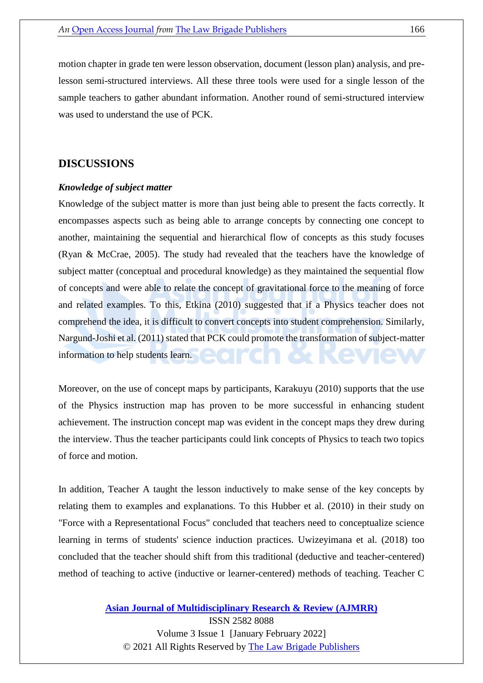motion chapter in grade ten were lesson observation, document (lesson plan) analysis, and prelesson semi-structured interviews. All these three tools were used for a single lesson of the sample teachers to gather abundant information. Another round of semi-structured interview was used to understand the use of PCK.

## **DISCUSSIONS**

#### *Knowledge of subject matter*

Knowledge of the subject matter is more than just being able to present the facts correctly. It encompasses aspects such as being able to arrange concepts by connecting one concept to another, maintaining the sequential and hierarchical flow of concepts as this study focuses (Ryan & McCrae, 2005). The study had revealed that the teachers have the knowledge of subject matter (conceptual and procedural knowledge) as they maintained the sequential flow of concepts and were able to relate the concept of gravitational force to the meaning of force and related examples. To this, Etkina (2010) suggested that if a Physics teacher does not comprehend the idea, it is difficult to convert concepts into student comprehension. Similarly, Nargund-Joshi et al. (2011) stated that PCK could promote the transformation of subject-matter information to help students learn.

Moreover, on the use of concept maps by participants, Karakuyu (2010) supports that the use of the Physics instruction map has proven to be more successful in enhancing student achievement. The instruction concept map was evident in the concept maps they drew during the interview. Thus the teacher participants could link concepts of Physics to teach two topics of force and motion.

In addition, Teacher A taught the lesson inductively to make sense of the key concepts by relating them to examples and explanations. To this Hubber et al. (2010) in their study on "Force with a Representational Focus" concluded that teachers need to conceptualize science learning in terms of students' science induction practices. Uwizeyimana et al. (2018) too concluded that the teacher should shift from this traditional (deductive and teacher-centered) method of teaching to active (inductive or learner-centered) methods of teaching. Teacher C

#### **[Asian Journal of Multidisciplinary](https://thelawbrigade.com/ajmrr/) Research & Review (AJMRR)**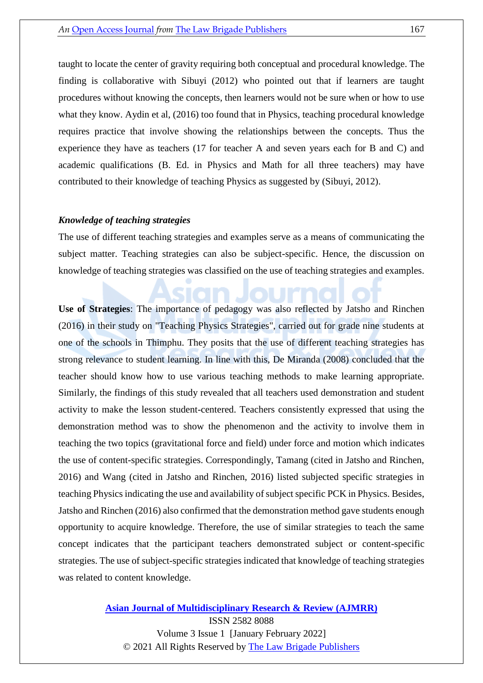taught to locate the center of gravity requiring both conceptual and procedural knowledge. The finding is collaborative with Sibuyi (2012) who pointed out that if learners are taught procedures without knowing the concepts, then learners would not be sure when or how to use what they know. Aydin et al, (2016) too found that in Physics, teaching procedural knowledge requires practice that involve showing the relationships between the concepts. Thus the experience they have as teachers (17 for teacher A and seven years each for B and C) and academic qualifications (B. Ed. in Physics and Math for all three teachers) may have contributed to their knowledge of teaching Physics as suggested by (Sibuyi, 2012).

#### *Knowledge of teaching strategies*

The use of different teaching strategies and examples serve as a means of communicating the subject matter. Teaching strategies can also be subject-specific. Hence, the discussion on knowledge of teaching strategies was classified on the use of teaching strategies and examples.

**Use of Strategies**: The importance of pedagogy was also reflected by Jatsho and Rinchen (2016) in their study on "Teaching Physics Strategies", carried out for grade nine students at one of the schools in Thimphu. They posits that the use of different teaching strategies has strong relevance to student learning. In line with this, De Miranda (2008) concluded that the teacher should know how to use various teaching methods to make learning appropriate. Similarly, the findings of this study revealed that all teachers used demonstration and student activity to make the lesson student-centered. Teachers consistently expressed that using the demonstration method was to show the phenomenon and the activity to involve them in teaching the two topics (gravitational force and field) under force and motion which indicates the use of content-specific strategies. Correspondingly, Tamang (cited in Jatsho and Rinchen, 2016) and Wang (cited in Jatsho and Rinchen, 2016) listed subjected specific strategies in teaching Physics indicating the use and availability of subject specific PCK in Physics. Besides, Jatsho and Rinchen (2016) also confirmed that the demonstration method gave students enough opportunity to acquire knowledge. Therefore, the use of similar strategies to teach the same concept indicates that the participant teachers demonstrated subject or content-specific strategies. The use of subject-specific strategies indicated that knowledge of teaching strategies was related to content knowledge.

#### **[Asian Journal of Multidisciplinary](https://thelawbrigade.com/ajmrr/) Research & Review (AJMRR)**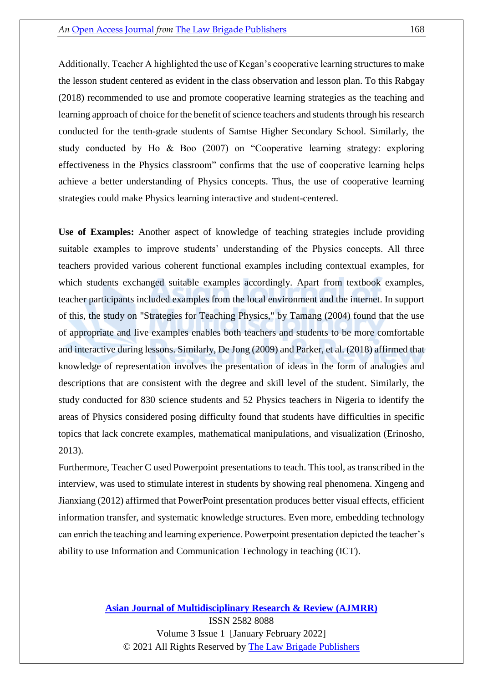Additionally, Teacher A highlighted the use of Kegan's cooperative learning structures to make the lesson student centered as evident in the class observation and lesson plan. To this Rabgay (2018) recommended to use and promote cooperative learning strategies as the teaching and learning approach of choice for the benefit of science teachers and students through his research conducted for the tenth-grade students of Samtse Higher Secondary School. Similarly, the study conducted by Ho & Boo (2007) on "Cooperative learning strategy: exploring effectiveness in the Physics classroom" confirms that the use of cooperative learning helps achieve a better understanding of Physics concepts. Thus, the use of cooperative learning strategies could make Physics learning interactive and student-centered.

**Use of Examples:** Another aspect of knowledge of teaching strategies include providing suitable examples to improve students' understanding of the Physics concepts. All three teachers provided various coherent functional examples including contextual examples, for which students exchanged suitable examples accordingly. Apart from textbook examples, teacher participants included examples from the local environment and the internet. In support of this, the study on "Strategies for Teaching Physics," by Tamang (2004) found that the use of appropriate and live examples enables both teachers and students to be more comfortable and interactive during lessons. Similarly, De Jong (2009) and Parker, et al. (2018) affirmed that knowledge of representation involves the presentation of ideas in the form of analogies and descriptions that are consistent with the degree and skill level of the student. Similarly, the study conducted for 830 science students and 52 Physics teachers in Nigeria to identify the areas of Physics considered posing difficulty found that students have difficulties in specific topics that lack concrete examples, mathematical manipulations, and visualization (Erinosho, 2013).

Furthermore, Teacher C used Powerpoint presentations to teach. This tool, as transcribed in the interview, was used to stimulate interest in students by showing real phenomena. Xingeng and Jianxiang (2012) affirmed that PowerPoint presentation produces better visual effects, efficient information transfer, and systematic knowledge structures. Even more, embedding technology can enrich the teaching and learning experience. Powerpoint presentation depicted the teacher's ability to use Information and Communication Technology in teaching (ICT).

# **[Asian Journal of Multidisciplinary](https://thelawbrigade.com/ajmrr/) Research & Review (AJMRR)** ISSN 2582 8088 Volume 3 Issue 1 [January February 2022]

© 2021 All Rights Reserved by [The Law Brigade Publishers](https://thelawbrigade.com/)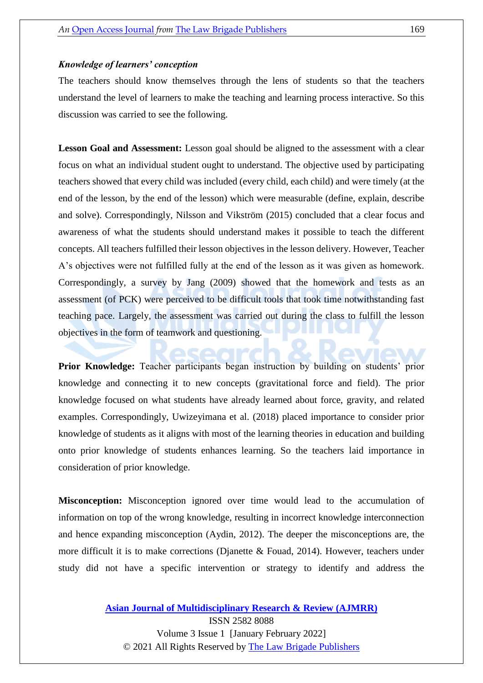#### *Knowledge of learners' conception*

The teachers should know themselves through the lens of students so that the teachers understand the level of learners to make the teaching and learning process interactive. So this discussion was carried to see the following.

**Lesson Goal and Assessment:** Lesson goal should be aligned to the assessment with a clear focus on what an individual student ought to understand. The objective used by participating teachers showed that every child was included (every child, each child) and were timely (at the end of the lesson, by the end of the lesson) which were measurable (define, explain, describe and solve). Correspondingly, Nilsson and Vikström (2015) concluded that a clear focus and awareness of what the students should understand makes it possible to teach the different concepts. All teachers fulfilled their lesson objectives in the lesson delivery. However, Teacher A's objectives were not fulfilled fully at the end of the lesson as it was given as homework. Correspondingly, a survey by Jang (2009) showed that the homework and tests as an assessment (of PCK) were perceived to be difficult tools that took time notwithstanding fast teaching pace. Largely, the assessment was carried out during the class to fulfill the lesson objectives in the form of teamwork and questioning.

**Prior Knowledge:** Teacher participants began instruction by building on students' prior knowledge and connecting it to new concepts (gravitational force and field). The prior knowledge focused on what students have already learned about force, gravity, and related examples. Correspondingly, Uwizeyimana et al. (2018) placed importance to consider prior knowledge of students as it aligns with most of the learning theories in education and building onto prior knowledge of students enhances learning. So the teachers laid importance in consideration of prior knowledge.

**Misconception:** Misconception ignored over time would lead to the accumulation of information on top of the wrong knowledge, resulting in incorrect knowledge interconnection and hence expanding misconception (Aydin, 2012). The deeper the misconceptions are, the more difficult it is to make corrections (Djanette & Fouad, 2014). However, teachers under study did not have a specific intervention or strategy to identify and address the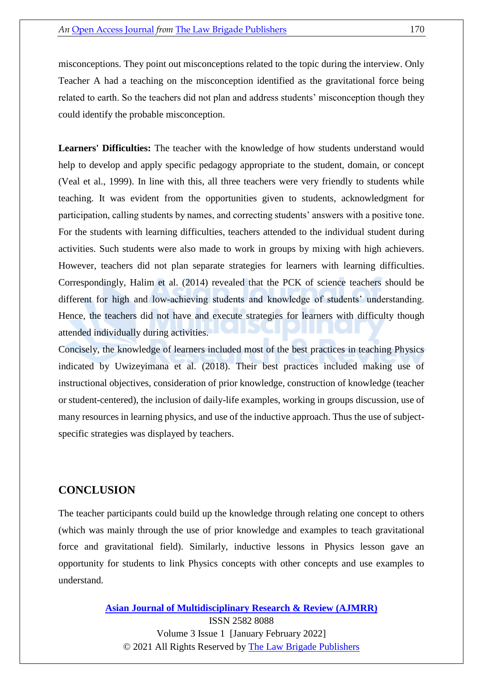misconceptions. They point out misconceptions related to the topic during the interview. Only Teacher A had a teaching on the misconception identified as the gravitational force being related to earth. So the teachers did not plan and address students' misconception though they could identify the probable misconception.

**Learners' Difficulties:** The teacher with the knowledge of how students understand would help to develop and apply specific pedagogy appropriate to the student, domain, or concept (Veal et al., 1999). In line with this, all three teachers were very friendly to students while teaching. It was evident from the opportunities given to students, acknowledgment for participation, calling students by names, and correcting students' answers with a positive tone. For the students with learning difficulties, teachers attended to the individual student during activities. Such students were also made to work in groups by mixing with high achievers. However, teachers did not plan separate strategies for learners with learning difficulties. Correspondingly, Halim et al. (2014) revealed that the PCK of science teachers should be different for high and low-achieving students and knowledge of students' understanding. Hence, the teachers did not have and execute strategies for learners with difficulty though attended individually during activities.

Concisely, the knowledge of learners included most of the best practices in teaching Physics indicated by Uwizeyimana et al. (2018). Their best practices included making use of instructional objectives, consideration of prior knowledge, construction of knowledge (teacher or student-centered), the inclusion of daily-life examples, working in groups discussion, use of many resources in learning physics, and use of the inductive approach. Thus the use of subjectspecific strategies was displayed by teachers.

## **CONCLUSION**

The teacher participants could build up the knowledge through relating one concept to others (which was mainly through the use of prior knowledge and examples to teach gravitational force and gravitational field). Similarly, inductive lessons in Physics lesson gave an opportunity for students to link Physics concepts with other concepts and use examples to understand.

**[Asian Journal of Multidisciplinary](https://thelawbrigade.com/ajmrr/) Research & Review (AJMRR)**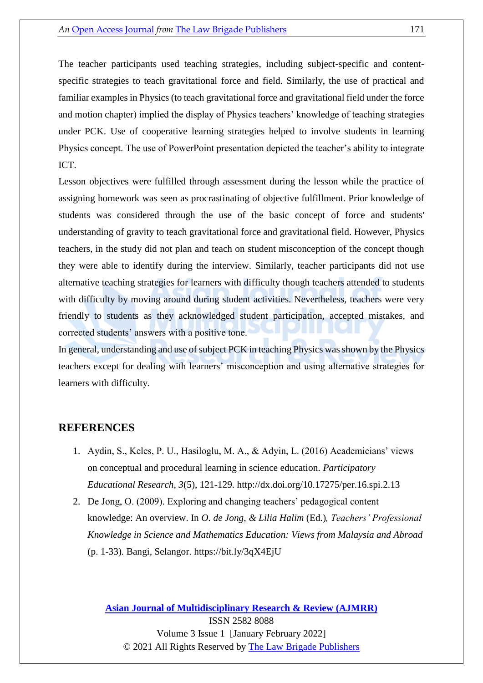The teacher participants used teaching strategies, including subject-specific and contentspecific strategies to teach gravitational force and field. Similarly, the use of practical and familiar examples in Physics (to teach gravitational force and gravitational field under the force and motion chapter) implied the display of Physics teachers' knowledge of teaching strategies under PCK. Use of cooperative learning strategies helped to involve students in learning Physics concept. The use of PowerPoint presentation depicted the teacher's ability to integrate ICT.

Lesson objectives were fulfilled through assessment during the lesson while the practice of assigning homework was seen as procrastinating of objective fulfillment. Prior knowledge of students was considered through the use of the basic concept of force and students' understanding of gravity to teach gravitational force and gravitational field. However, Physics teachers, in the study did not plan and teach on student misconception of the concept though they were able to identify during the interview. Similarly, teacher participants did not use alternative teaching strategies for learners with difficulty though teachers attended to students with difficulty by moving around during student activities. Nevertheless, teachers were very friendly to students as they acknowledged student participation, accepted mistakes, and corrected students' answers with a positive tone.

In general, understanding and use of subject PCK in teaching Physics was shown by the Physics teachers except for dealing with learners' misconception and using alternative strategies for learners with difficulty.

#### **REFERENCES**

- 1. Aydin, S., Keles, P. U., Hasiloglu, M. A., & Adyin, L. (2016) Academicians' views on conceptual and procedural learning in science education. *Participatory Educational Research*, *3*(5), 121-129.<http://dx.doi.org/10.17275/per.16.spi.2.13>
- 2. De Jong, O. (2009). Exploring and changing teachers' pedagogical content knowledge: An overview. In *O. de Jong, & Lilia Halim* (Ed.)*, Teachers' Professional Knowledge in Science and Mathematics Education: Views from Malaysia and Abroad*  (p. 1-33)*.* Bangi, Selangor.<https://bit.ly/3qX4EjU>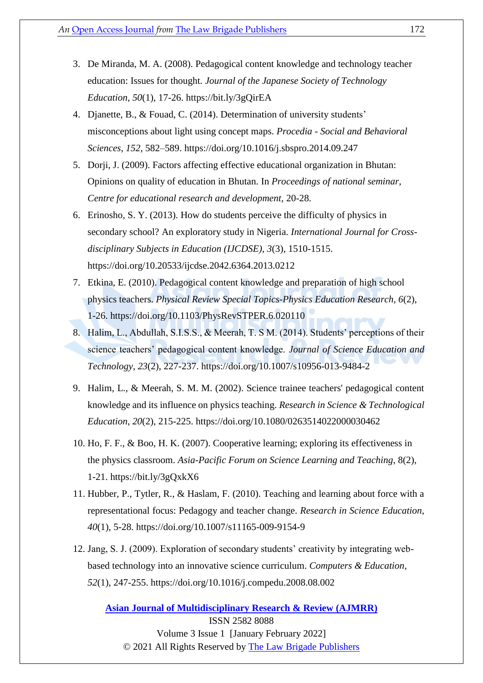- 3. De Miranda, M. A. (2008). Pedagogical content knowledge and technology teacher education: Issues for thought. *Journal of the Japanese Society of Technology Education*, *50*(1), 17-26.<https://bit.ly/3gQirEA>
- 4. Djanette, B., & Fouad, C. (2014). Determination of university students' misconceptions about light using concept maps. *Procedia - Social and Behavioral Sciences*, *152*, 582–589.<https://doi.org/10.1016/j.sbspro.2014.09.247>
- 5. Dorji, J. (2009). Factors affecting effective educational organization in Bhutan: Opinions on quality of education in Bhutan*.* In *Proceedings of national seminar, Centre for educational research and development,* 20-28.
- 6. Erinosho, S. Y. (2013). How do students perceive the difficulty of physics in secondary school? An exploratory study in Nigeria. *International Journal for Crossdisciplinary Subjects in Education (IJCDSE)*, *3*(3), 1510-1515. <https://doi.org/10.20533/ijcdse.2042.6364.2013.0212>
- 7. Etkina, E. (2010). Pedagogical content knowledge and preparation of high school physics teachers. *Physical Review Special Topics-Physics Education Research*, *6*(2), 1-26.<https://doi.org/10.1103/PhysRevSTPER.6.020110>
- 8. Halim, L., Abdullah, S.I.S.S., & Meerah, T. S M. (2014). Students' perceptions of their science teachers' pedagogical content knowledge. *Journal of Science Education and Technology, 23*(2), 227-237.<https://doi.org/10.1007/s10956-013-9484-2>
- 9. Halim, L., & Meerah, S. M. M. (2002). Science trainee teachers' pedagogical content knowledge and its influence on physics teaching. *Research in Science & Technological Education*, *20*(2), 215-225.<https://doi.org/10.1080/0263514022000030462>
- 10. Ho, F. F., & Boo, H. K. (2007). Cooperative learning; exploring its effectiveness in the physics classroom. *Asia-Pacific Forum on Science Learning and Teaching*, 8(2), 1-21.<https://bit.ly/3gQxkX6>
- 11. Hubber, P., Tytler, R., & Haslam, F. (2010). Teaching and learning about force with a representational focus: Pedagogy and teacher change. *Research in Science Education*, *40*(1), 5-28.<https://doi.org/10.1007/s11165-009-9154-9>
- 12. Jang, S. J. (2009). Exploration of secondary students' creativity by integrating webbased technology into an innovative science curriculum. *Computers & Education*, *52*(1), 247-255.<https://doi.org/10.1016/j.compedu.2008.08.002>

**[Asian Journal of Multidisciplinary](https://thelawbrigade.com/ajmrr/) Research & Review (AJMRR)** ISSN 2582 8088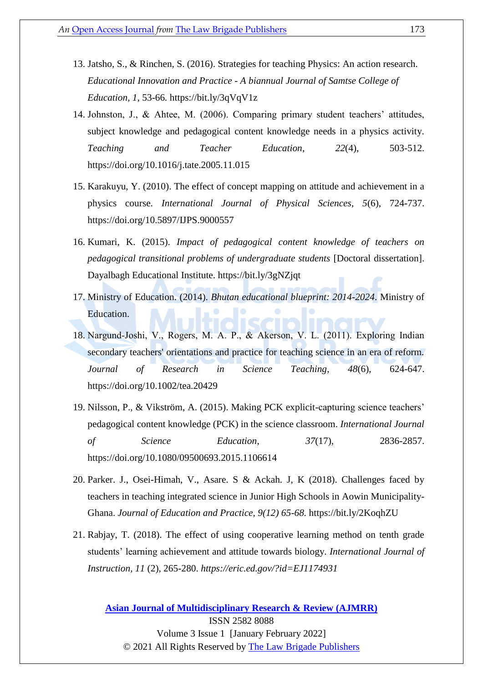- 13. Jatsho, S., & Rinchen, S. (2016). Strategies for teaching Physics: An action research. *Educational Innovation and Practice - A biannual Journal of Samtse College of Education, 1,* 53-66*.* <https://bit.ly/3qVqV1z>
- 14. Johnston, J., & Ahtee, M. (2006). Comparing primary student teachers' attitudes, subject knowledge and pedagogical content knowledge needs in a physics activity. *Teaching and Teacher Education*, *22*(4), 503-512. <https://doi.org/10.1016/j.tate.2005.11.015>
- 15. Karakuyu, Y. (2010). The effect of concept mapping on attitude and achievement in a physics course. *International Journal of Physical Sciences*, *5*(6), 724-737. <https://doi.org/10.5897/IJPS.9000557>
- 16. Kumari, K. (2015). *Impact of pedagogical content knowledge of teachers on pedagogical transitional problems of undergraduate students* [Doctoral dissertation]. Dayalbagh Educational Institute. https://bit.ly/3gNZjqt
- 17. Ministry of Education. (2014). *Bhutan educational blueprint: 2014-2024*. Ministry of Education.
- 18. Nargund‐Joshi, V., Rogers, M. A. P., & Akerson, V. L. (2011). Exploring Indian secondary teachers' orientations and practice for teaching science in an era of reform. *Journal of Research in Science Teaching*, *48*(6), 624-647. <https://doi.org/10.1002/tea.20429>
- 19. Nilsson, P., & Vikström, A. (2015). Making PCK explicit-capturing science teachers' pedagogical content knowledge (PCK) in the science classroom. *International Journal of Science Education*, *37*(17), 2836-2857. <https://doi.org/10.1080/09500693.2015.1106614>
- 20. Parker. J., Osei-Himah, V., Asare. S & Ackah. J, K (2018). Challenges faced by teachers in teaching integrated science in Junior High Schools in Aowin Municipality-Ghana. *Journal of Education and Practice, 9(12) 65-68.* <https://bit.ly/2KoqhZU>
- 21. Rabjay, T. (2018). The effect of using cooperative learning method on tenth grade students' learning achievement and attitude towards biology. *International Journal of Instruction, 11* (2), 265-280. *<https://eric.ed.gov/?id=EJ1174931>*